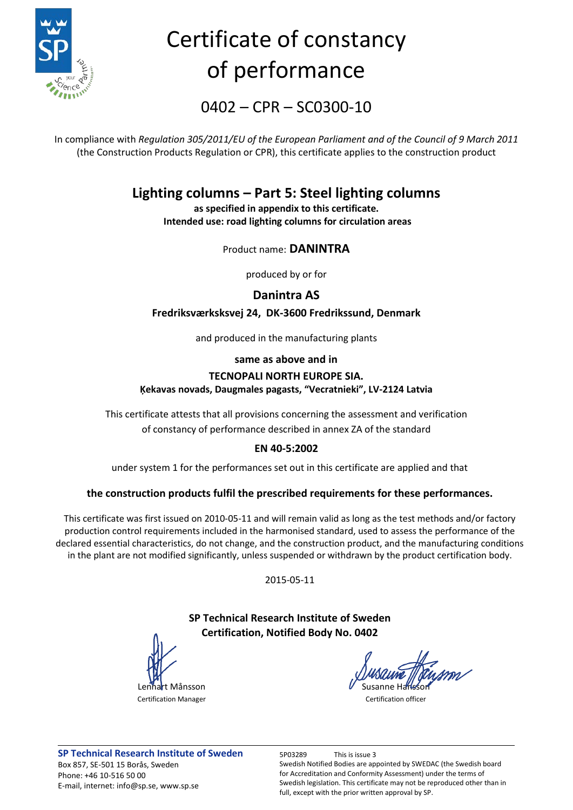

# Certificate of constancy of performance

0402 – CPR – SC0300-10

In compliance with *Regulation 305/2011/EU of the European Parliament and of the Council of 9 March 2011* (the Construction Products Regulation or CPR), this certificate applies to the construction product

### **Lighting columns – Part 5: Steel lighting columns**

**as specified in appendix to this certificate. Intended use: road lighting columns for circulation areas**

Product name: **DANINTRA** 

produced by or for

**Danintra AS**

**Fredriksværksksvej 24, DK-3600 Fredrikssund, Denmark**

and produced in the manufacturing plants

**same as above and in**

#### **TECNOPALI NORTH EUROPE SIA. Ķekavas novads, Daugmales pagasts, "Vecratnieki", LV-2124 Latvia**

This certificate attests that all provisions concerning the assessment and verification of constancy of performance described in annex ZA of the standard

#### **EN 40-5:2002**

under system 1 for the performances set out in this certificate are applied and that

#### **the construction products fulfil the prescribed requirements for these performances.**

This certificate was first issued on 2010-05-11 and will remain valid as long as the test methods and/or factory production control requirements included in the harmonised standard, used to assess the performance of the declared essential characteristics, do not change, and the construction product, and the manufacturing conditions in the plant are not modified significantly, unless suspended or withdrawn by the product certification body.

2015-05-11

#### **SP Technical Research Institute of Sweden Certification, Notified Body No. 0402**

Lennart Månsson Certification Manager Certification office

**SP Technical Research Institute of Sweden** 5P03289 This is issue 3 Box 857, SE-501 15 Borås, Sweden Phone: +46 10-516 50 00 E-mail, internet: info@sp.se, www.sp.se

Swedish Notified Bodies are appointed by SWEDAC (the Swedish board for Accreditation and Conformity Assessment) under the terms of Swedish legislation. This certificate may not be reproduced other than in full, except with the prior written approval by SP.